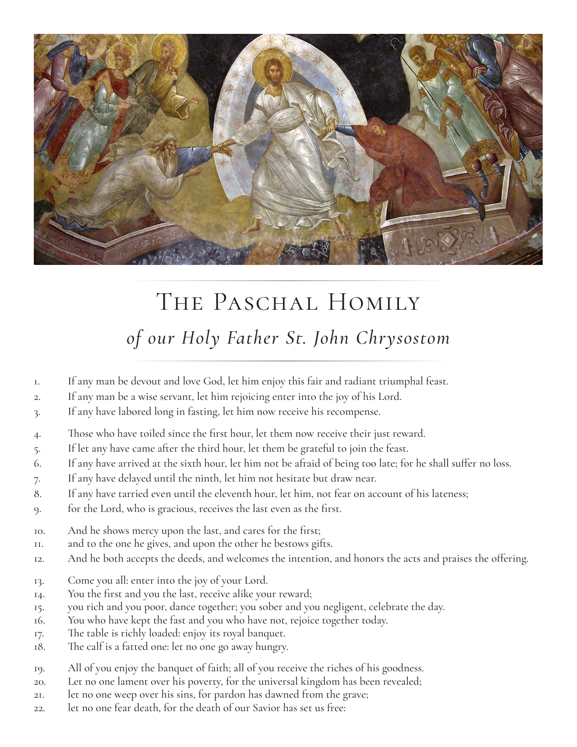

## THE PASCHAL HOMILY *of our Holy Father St. John Chrysostom*

- 1. If any man be devout and love God, let him enjoy this fair and radiant triumphal feast.
- 2. If any man be a wise servant, let him rejoicing enter into the joy of his Lord.
- 3. If any have labored long in fasting, let him now receive his recompense.
- 4. Those who have toiled since the first hour, let them now receive their just reward.
- 5. If let any have came after the third hour, let them be grateful to join the feast.
- 6. If any have arrived at the sixth hour, let him not be afraid of being too late; for he shall suffer no loss.
- 7. If any have delayed until the ninth, let him not hesitate but draw near.
- 8. If any have tarried even until the eleventh hour, let him, not fear on account of his lateness;
- 9. for the Lord, who is gracious, receives the last even as the first.
- 10. And he shows mercy upon the last, and cares for the first;
- 11. and to the one he gives, and upon the other he bestows gifts.
- 12. And he both accepts the deeds, and welcomes the intention, and honors the acts and praises the offering.
- 13. Come you all: enter into the joy of your Lord.
- 14. You the first and you the last, receive alike your reward;
- 15. you rich and you poor, dance together; you sober and you negligent, celebrate the day.
- 16. You who have kept the fast and you who have not, rejoice together today.
- 17. The table is richly loaded: enjoy its royal banquet.
- 18. The calf is a fatted one: let no one go away hungry.
- 19. All of you enjoy the banquet of faith; all of you receive the riches of his goodness.
- 20. Let no one lament over his poverty, for the universal kingdom has been revealed;
- 21. let no one weep over his sins, for pardon has dawned from the grave;
- 22. let no one fear death, for the death of our Savior has set us free: